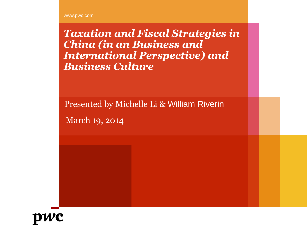www.pwc.com

*Taxation and Fiscal Strategies in China (in an Business and International Perspective) and Business Culture*

Presented by Michelle Li & William Riverin

March 19, 2014

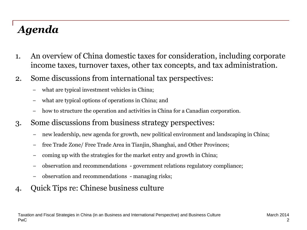# *Agenda*

- 1. An overview of China domestic taxes for consideration, including corporate income taxes, turnover taxes, other tax concepts, and tax administration.
- 2. Some discussions from international tax perspectives:
	- what are typical investment vehicles in China;
	- − what are typical options of operations in China; and
	- how to structure the operation and activities in China for a Canadian corporation.
- 3. Some discussions from business strategy perspectives:
	- new leadership, new agenda for growth, new political environment and landscaping in China;
	- free Trade Zone/ Free Trade Area in Tianjin, Shanghai, and Other Provinces;
	- − coming up with the strategies for the market entry and growth in China;
	- − observation and recommendations government relations regulatory compliance;
	- − observation and recommendations managing risks;
- 4. Quick Tips re: Chinese business culture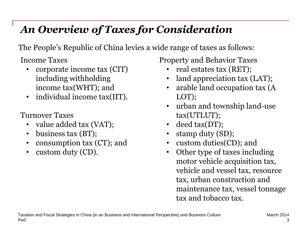## *An Overview of Taxes for Consideration*

The People's Republic of China levies a wide range of taxes as follows:

Income Taxes

- corporate income tax (CIT) including withholding income tax(WHT); and
- individual income tax(IIT).

Turnover Taxes

- value added tax (VAT);
- business tax (BT);
- consumption tax (CT); and
- custom duty (CD).

Property and Behavior Taxes

- real estates tax (RET);
- land appreciation tax (LAT);
- arable land occupation tax (A LOT);
- urban and township land-use tax(UTLUT);
- deed tax(DT);
- stamp duty (SD);
- custom duties(CD); and
- Other type of taxes including motor vehicle acquisition tax, vehicle and vessel tax, resource tax, urban construction and maintenance tax, vessel tonnage tax and tobacco tax.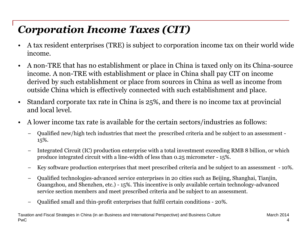# *Corporation Income Taxes (CIT)*

- A tax resident enterprises (TRE) is subject to corporation income tax on their world wide income.
- A non-TRE that has no establishment or place in China is taxed only on its China-source income. A non-TRE with establishment or place in China shall pay CIT on income derived by such establishment or place from sources in China as well as income from outside China which is effectively connected with such establishment and place.
- Standard corporate tax rate in China is 25%, and there is no income tax at provincial and local level.
- A lower income tax rate is available for the certain sectors/industries as follows:
	- − Qualified new/high tech industries that meet the prescribed criteria and be subject to an assessment 15%.
	- − Integrated Circuit (IC) production enterprise with a total investment exceeding RMB 8 billion, or which produce integrated circuit with a line-width of less than 0.25 micrometer - 15%.
	- − Key software production enterprises that meet prescribed criteria and be subject to an assessment 10%.
	- − Qualified technologies-advanced service enterprises in 20 cities such as Beijing, Shanghai, Tianjin, Guangzhou, and Shenzhen, etc.) - 15%. This incentive is only available certain technology-advanced service section members and meet prescribed criteria and be subject to an assessment.
	- − Qualified small and thin-profit enterprises that fulfil certain conditions 20%.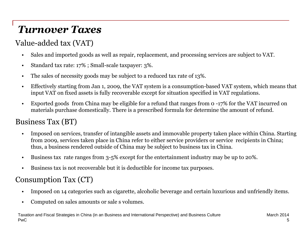# *Turnover Taxes*

#### Value-added tax (VAT)

- Sales and imported goods as well as repair, replacement, and processing services are subject to VAT.
- Standard tax rate: 17% ; Small-scale taxpayer: 3%.
- The sales of necessity goods may be subject to a reduced tax rate of 13%.
- Effectively starting from Jan 1, 2009, the VAT system is a consumption-based VAT system, which means that input VAT on fixed assets is fully recoverable except for situation specified in VAT regulations.
- Exported goods from China may be eligible for a refund that ranges from 0 -17% for the VAT incurred on materials purchase domestically. There is a prescribed formula for determine the amount of refund.

#### Business Tax (BT)

- Imposed on services, transfer of intangible assets and immovable property taken place within China. Starting from 2009, services taken place in China refer to either service providers or service recipients in China; thus, a business rendered outside of China may be subject to business tax in China.
- Business tax rate ranges from 3-5% except for the entertainment industry may be up to 20%.
- Business tax is not recoverable but it is deductible for income tax purposes.

#### Consumption Tax (CT)

- Imposed on 14 categories such as cigarette, alcoholic beverage and certain luxurious and unfriendly items.
- Computed on sales amounts or sale s volumes.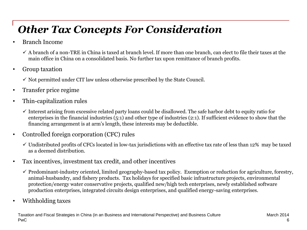# *Other Tax Concepts For Consideration*

- Branch Income
	- $\checkmark$  A branch of a non-TRE in China is taxed at branch level. If more than one branch, can elect to file their taxes at the main office in China on a consolidated basis. No further tax upon remittance of branch profits.
- Group taxation
	- $\checkmark$  Not permitted under CIT law unless otherwise prescribed by the State Council.
- Transfer price regime
- Thin-capitalization rules
	- $\checkmark$  Interest arising from excessive related party loans could be disallowed. The safe harbor debt to equity ratio for enterprises in the financial industries (5:1) and other type of industries (2:1). If sufficient evidence to show that the financing arrangement is at arm's length, these interests may be deductible.
- Controlled foreign corporation (CFC) rules
	- $\checkmark$  Undistributed profits of CFCs located in low-tax jurisdictions with an effective tax rate of less than 12% may be taxed as a deemed distribution.
- Tax incentives, investment tax credit, and other incentives
	- $\checkmark$  Predominant-industry oriented, limited geography-based tax policy. Exemption or reduction for agriculture, forestry, animal-husbandry, and fishery products. Tax holidays for specified basic infrastructure projects, environmental protection/energy water conservative projects, qualified new/high tech enterprises, newly established software production enterprises, integrated circuits design enterprises, and qualified energy-saving enterprises.
- Withholding taxes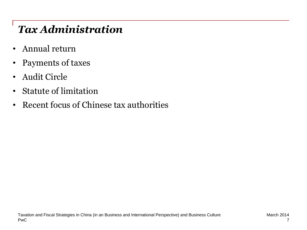# *Tax Administration*

- Annual return
- Payments of taxes
- Audit Circle
- Statute of limitation
- Recent focus of Chinese tax authorities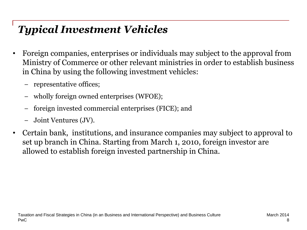# *Typical Investment Vehicles*

- Foreign companies, enterprises or individuals may subject to the approval from Ministry of Commerce or other relevant ministries in order to establish business in China by using the following investment vehicles:
	- nepresentative offices;
	- wholly foreign owned enterprises (WFOE);
	- foreign invested commercial enterprises (FICE); and
	- − Joint Ventures (JV).
- Certain bank, institutions, and insurance companies may subject to approval to set up branch in China. Starting from March 1, 2010, foreign investor are allowed to establish foreign invested partnership in China.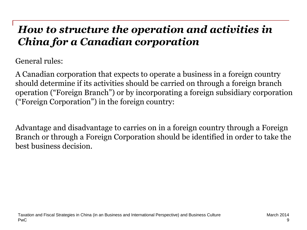## *How to structure the operation and activities in China for a Canadian corporation*

General rules:

A Canadian corporation that expects to operate a business in a foreign country should determine if its activities should be carried on through a foreign branch operation ("Foreign Branch") or by incorporating a foreign subsidiary corporation ("Foreign Corporation") in the foreign country:

Advantage and disadvantage to carries on in a foreign country through a Foreign Branch or through a Foreign Corporation should be identified in order to take the best business decision.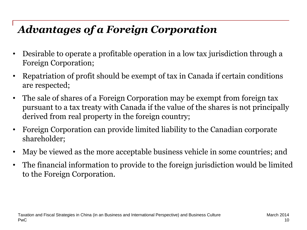# *Advantages of a Foreign Corporation*

- Desirable to operate a profitable operation in a low tax jurisdiction through a Foreign Corporation;
- Repatriation of profit should be exempt of tax in Canada if certain conditions are respected;
- The sale of shares of a Foreign Corporation may be exempt from foreign tax pursuant to a tax treaty with Canada if the value of the shares is not principally derived from real property in the foreign country;
- Foreign Corporation can provide limited liability to the Canadian corporate shareholder;
- May be viewed as the more acceptable business vehicle in some countries; and
- The financial information to provide to the foreign jurisdiction would be limited to the Foreign Corporation.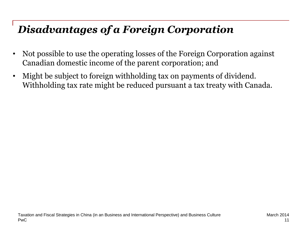## *Disadvantages of a Foreign Corporation*

- Not possible to use the operating losses of the Foreign Corporation against Canadian domestic income of the parent corporation; and
- Might be subject to foreign withholding tax on payments of dividend. Withholding tax rate might be reduced pursuant a tax treaty with Canada.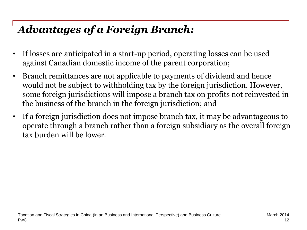# *Advantages of a Foreign Branch:*

- If losses are anticipated in a start-up period, operating losses can be used against Canadian domestic income of the parent corporation;
- Branch remittances are not applicable to payments of dividend and hence would not be subject to withholding tax by the foreign jurisdiction. However, some foreign jurisdictions will impose a branch tax on profits not reinvested in the business of the branch in the foreign jurisdiction; and
- If a foreign jurisdiction does not impose branch tax, it may be advantageous to operate through a branch rather than a foreign subsidiary as the overall foreign tax burden will be lower.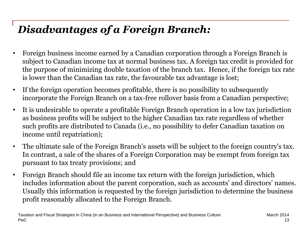# *Disadvantages of a Foreign Branch:*

- Foreign business income earned by a Canadian corporation through a Foreign Branch is subject to Canadian income tax at normal business tax. A foreign tax credit is provided for the purpose of minimizing double taxation of the branch tax. Hence, if the foreign tax rate is lower than the Canadian tax rate, the favourable tax advantage is lost;
- If the foreign operation becomes profitable, there is no possibility to subsequently incorporate the Foreign Branch on a tax-free rollover basis from a Canadian perspective;
- It is undesirable to operate a profitable Foreign Branch operation in a low tax jurisdiction as business profits will be subject to the higher Canadian tax rate regardless of whether such profits are distributed to Canada (i.e., no possibility to defer Canadian taxation on income until repatriation);
- The ultimate sale of the Foreign Branch's assets will be subject to the foreign country's tax. In contrast, a sale of the shares of a Foreign Corporation may be exempt from foreign tax pursuant to tax treaty provisions; and
- Foreign Branch should file an income tax return with the foreign jurisdiction, which includes information about the parent corporation, such as accounts' and directors' names. Usually this information is requested by the foreign jurisdiction to determine the business profit reasonably allocated to the Foreign Branch.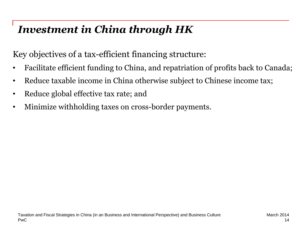# *Investment in China through HK*

Key objectives of a tax-efficient financing structure:

- Facilitate efficient funding to China, and repatriation of profits back to Canada;
- Reduce taxable income in China otherwise subject to Chinese income tax;
- Reduce global effective tax rate; and
- Minimize withholding taxes on cross-border payments.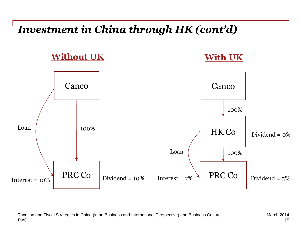#### *Investment in China through HK (cont'd)*

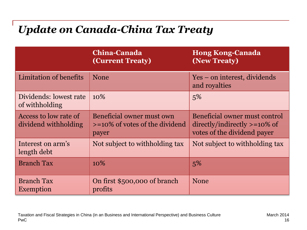## *Update on Canada-China Tax Treaty*

|                                               | China-Canada<br><b>(Current Treaty)</b>                                   | <b>Hong Kong-Canada</b><br>(New Treaty)                                                                        |
|-----------------------------------------------|---------------------------------------------------------------------------|----------------------------------------------------------------------------------------------------------------|
| Limitation of benefits                        | <b>None</b>                                                               | Yes – on interest, dividends<br>and royalties                                                                  |
| Dividends: lowest rate<br>of withholding      | $10\%$                                                                    | 5%                                                                                                             |
| Access to low rate of<br>dividend withholding | Beneficial owner must own<br>$\ge$ =10% of votes of the dividend<br>payer | Beneficial owner must control<br>$\frac{divectly/indirectly}{\sqrt{2}}$ =10% of<br>votes of the dividend payer |
| Interest on arm's<br>length debt              | Not subject to withholding tax                                            | Not subject to withholding tax                                                                                 |
| <b>Branch Tax</b>                             | 10%                                                                       | 5%                                                                                                             |
| <b>Branch Tax</b><br><b>Exemption</b>         | On first \$500,000 of branch<br>profits                                   | <b>None</b>                                                                                                    |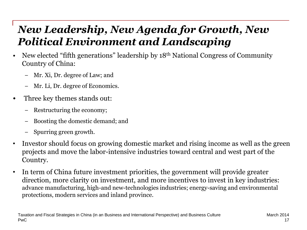## *New Leadership, New Agenda for Growth, New Political Environment and Landscaping*

- New elected "fifth generations" leadership by 18th National Congress of Community Country of China:
	- − Mr. Xi, Dr. degree of Law; and
	- − Mr. Li, Dr. degree of Economics.
- Three key themes stands out:
	- − Restructuring the economy;
	- Boosting the domestic demand; and
	- − Spurring green growth.
- Investor should focus on growing domestic market and rising income as well as the green projects and move the labor-intensive industries toward central and west part of the Country.
- In term of China future investment priorities, the government will provide greater direction, more clarity on investment, and more incentives to invest in key industries: advance manufacturing, high-and new-technologies industries; energy-saving and environmental protections, modern services and inland province.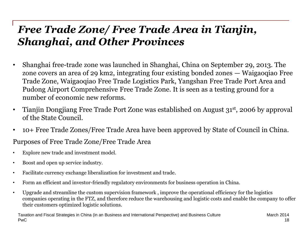## *Free Trade Zone/ Free Trade Area in Tianjin, Shanghai, and Other Provinces*

- Shanghai free-trade zone was launched in Shanghai, China on September 29, 2013. The zone covers an area of 29 km2, integrating four existing bonded zones — Waigaoqiao Free Trade Zone, Waigaoqiao Free Trade Logistics Park, Yangshan Free Trade Port Area and Pudong Airport Comprehensive Free Trade Zone. It is seen as a testing ground for a number of economic new reforms.
- Tianjin Dongjiang Free Trade Port Zone was established on August 31st, 2006 by approval of the State Council.
- 10+ Free Trade Zones/Free Trade Area have been approved by State of Council in China.

Purposes of Free Trade Zone/Free Trade Area

- Explore new trade and investment model.
- Boost and open up service industry.
- Facilitate currency exchange liberalization for investment and trade.
- Form an efficient and investor-friendly regulatory environments for business operation in China.
- Upgrade and streamline the custom supervision framework , improve the operational efficiency for the logistics companies operating in the FTZ, and therefore reduce the warehousing and logistic costs and enable the company to offer their customers optimized logistic solutions.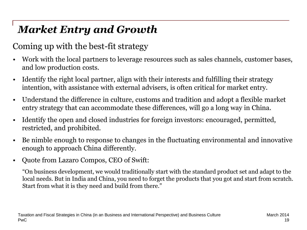# *Market Entry and Growth*

#### Coming up with the best-fit strategy

- Work with the local partners to leverage resources such as sales channels, customer bases, and low production costs.
- Identify the right local partner, align with their interests and fulfilling their strategy intention, with assistance with external advisers, is often critical for market entry.
- Understand the difference in culture, customs and tradition and adopt a flexible market entry strategy that can accommodate these differences, will go a long way in China.
- Identify the open and closed industries for foreign investors: encouraged, permitted, restricted, and prohibited.
- Be nimble enough to response to changes in the fluctuating environmental and innovative enough to approach China differently.
- Quote from Lazaro Compos, CEO of Swift:

"On business development, we would traditionally start with the standard product set and adapt to the local needs. But in India and China, you need to forget the products that you got and start from scratch. Start from what it is they need and build from there."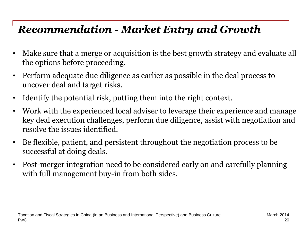## *Recommendation - Market Entry and Growth*

- Make sure that a merge or acquisition is the best growth strategy and evaluate all the options before proceeding.
- Perform adequate due diligence as earlier as possible in the deal process to uncover deal and target risks.
- Identify the potential risk, putting them into the right context.
- Work with the experienced local adviser to leverage their experience and manage key deal execution challenges, perform due diligence, assist with negotiation and resolve the issues identified.
- Be flexible, patient, and persistent throughout the negotiation process to be successful at doing deals.
- Post-merger integration need to be considered early on and carefully planning with full management buy-in from both sides.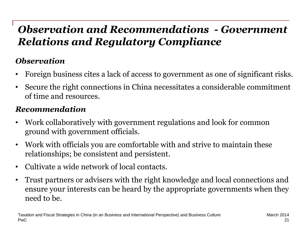## *Observation and Recommendations - Government Relations and Regulatory Compliance*

#### *Observation*

- Foreign business cites a lack of access to government as one of significant risks.
- Secure the right connections in China necessitates a considerable commitment of time and resources.

#### *Recommendation*

- Work collaboratively with government regulations and look for common ground with government officials.
- Work with officials you are comfortable with and strive to maintain these relationships; be consistent and persistent.
- Cultivate a wide network of local contacts.
- Trust partners or advisers with the right knowledge and local connections and ensure your interests can be heard by the appropriate governments when they need to be.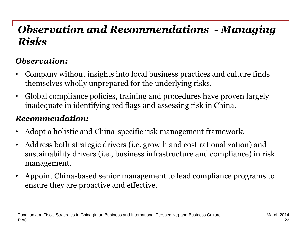## *Observation and Recommendations - Managing Risks*

#### *Observation:*

- Company without insights into local business practices and culture finds themselves wholly unprepared for the underlying risks.
- Global compliance policies, training and procedures have proven largely inadequate in identifying red flags and assessing risk in China.

#### *Recommendation:*

- Adopt a holistic and China-specific risk management framework.
- Address both strategic drivers (i.e. growth and cost rationalization) and sustainability drivers (i.e., business infrastructure and compliance) in risk management.
- Appoint China-based senior management to lead compliance programs to ensure they are proactive and effective.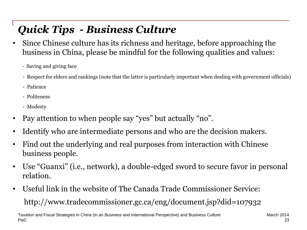# *Quick Tips - Business Culture*

- Since Chinese culture has its richness and heritage, before approaching the business in China, please be mindful for the following qualities and values:
	- Saving and giving face
	- Respect for elders and rankings (note that the latter is particularly important when dealing with government officials)
	- Patience
	- Politeness
	- Modesty
- Pay attention to when people say "yes" but actually "no".
- Identify who are intermediate persons and who are the decision makers.
- Find out the underlying and real purposes from interaction with Chinese business people.
- Use "Guanxi" (i.e., network), a double-edged sword to secure favor in personal relation.
- Useful link in the website of The Canada Trade Commissioner Service: http://www.tradecommissioner.gc.ca/eng/document.jsp?did=107932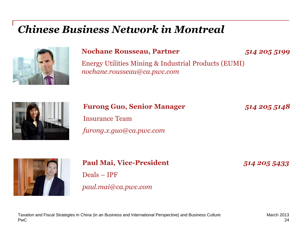### *Chinese Business Network in Montreal*



#### **Nochane Rousseau, Partner** *514 205 5199*

Energy Utilities Mining & Industrial Products (EUMI) *nochane.rousseau@ca.pwc.com*



**Furong Guo, Senior Manager** *514 205 5148* Insurance Team *furong.x.guo@ca.pwc.com*

**Paul Mai, Vice-President** *514 205 5433* Deals – IPF

#### *paul.mai@ca.pwc.com*

#### PwC Taxation and Fiscal Strategies in China (in an Business and International Perspective) and Business Culture March 2013

24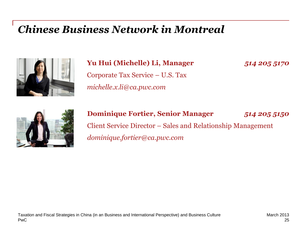### *Chinese Business Network in Montreal*



#### **Yu Hui (Michelle) Li, Manager** *514 205 5170*

Corporate Tax Service – U.S. Tax *michelle.x.li@ca.pwc.com*



#### **Dominique Fortier, Senior Manager** *514 205 5150* Client Service Director – Sales and Relationship Management *dominique.fortier@ca.pwc.com*